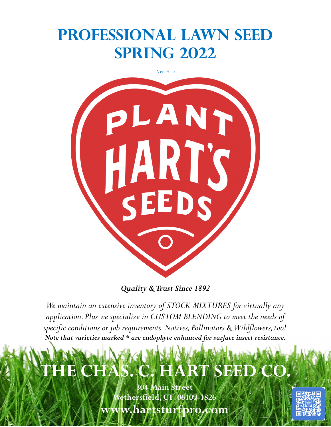# **Professional Lawn Seed Spring 2022**

Ver. 4.15



*Quality & Trust Since 1892*

*We maintain an extensive inventory of STOCK MIXTURES for virtually any application. Plus we specialize in CUSTOM BLENDING to meet the needs of specific conditions or job requirements. Natives, Pollinators & Wildflowers, too! Note that varieties marked \* are endophyte enhanced for surface insect resistance.*

# **CHAS. C. HART SEED CO.**

**304 Main Street Wethersfield, CT 06109-1826 www.hartsturfpro.com**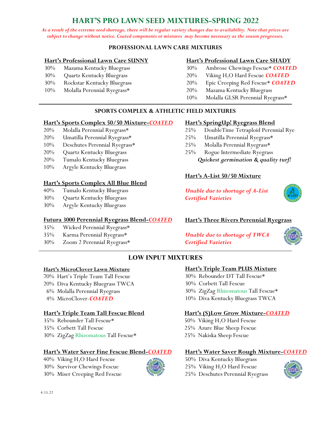# **HART'S PRO LAWN SEED MIXTURES-SPRING 2022**

*As a result of the extreme seed shortage, there will be regular variety changes due to availability. Note that prices are subject to change without notice. Coated components or mixtures may become necessary as the season progresses.*

#### **PROFESSIONAL LAWN CARE MIXTURES**

#### **Hart's Professional Lawn Care SUNNY**

- 30% Mazama Kentucky Bluegrass
- 30% Quartz Kentucky Bluegrass
- 30% Rockstar Kentucky Bluegrass
- 10% Molalla Perennial Ryegrass\*

#### **Hart's Professional Lawn Care SHADY**

- 30% Ambrose Chewings Fescue\* *COATED*
- 20% Viking H<sub>2</sub>O Hard Fescue **COATED**
- 20% Epic Creeping Red Fescue\* *COATED*
- 20% Mazama Kentucky Bluegrass
- 10% Molalla GLSR Perennial Ryegrass\*

#### **SPORTS COMPLEX & ATHLETIC FIELD MIXTURES**

#### **Hart's Sports Complex 50/50 Mixture-***COATED*

- 20% Molalla Perennial Ryegrass\*
- 20% Umatilla Perennial Ryegrass\*
- 10% Deschutes Perennial Ryegrass\*
- 20% Quartz Kentucky Bluegrass
- 20% Tumalo Kentucky Bluegrass
- 10% Argyle Kentucky Bluegrass

#### **Hart's Sports Complex All Blue Blend**

- 40% Tumalo Kentucky Bluegrass
- 30% Quartz Kentucky Bluegrass
- 30% Argyle Kentucky Bluegrass

#### **Futura 3000 Perennial Ryegrass Blend-***COATED*

- 35% Wicked Perennial Ryegrass\*
- 35% Karma Perennial Ryegrass\*
- 30% Zoom 2 Perennial Ryegrass\*

#### **Hart's SpringUp! Ryegrass Blend**

- 25% DoubleTime Tetraploid Perennial Rye
- 25% Umatilla Perennial Ryegrass\*
- 25% Molalla Perennial Ryegrass\*
- 25% Rogue Intermediate Ryegrass *Quickest germination & quality turf!*

#### **Hart's A-List 50/50 Mixture**

*Unable due to shortage of A-List Certified Varieties*



#### **Hart's Three Rivers Perennial Ryegrass**

*Unable due to shortage of TWCA Certified Varieties*



## **LOW INPUT MIXTURES**

#### **Hart's MicroClover Lawn Mixture**

- 70% Hart's Triple Team Tall Fescue
- 20% Diva Kentucky Bluegrass TWCA
- 6% Molalla Perennial Ryegrass
- 4% MicroClover-*COATED*

#### **Hart's Triple Team Tall Fescue Blend**

35% Rebounder Tall Fescue\*

- 35% Corbett Tall Fescue
- 30% ZigZag Rhizomatous Tall Fescue\*

#### **Hart's Water Saver Fine Fescue Blend-***COATED*

40% Viking H<sub>2</sub>O Hard Fescue 30% Survivor Chewings Fescue 30% Miser Creeping Red Fescue



#### **Hart's Triple Team PLUS Mixture**

30% Rebounder DT Tall Fescue\* 30% Corbett Tall Fescue

- 30% ZigZag Rhizomatous Tall Fescue\*
- 10% Diva Kentucky Bluegrass TWCA

#### **Hart's (S)Low Grow Mixture-***COATED*

50% Viking H<sub>2</sub>O Hard Fescue 25% Azure Blue Sheep Fescue 25% Nakiska Sheep Fescue

#### **Hart's Water Saver Rough Mixture-***COATED*

50% Diva Kentucky Bluegrass 25% Viking  $H_2O$  Hard Fescue 25% Deschutes Perennial Ryegrass

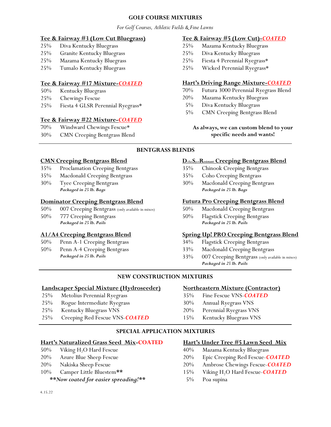#### **GOLF COURSE MIXTURES**

*For Golf Courses, Athletic Fields & Fine Lawns*

#### **Tee & Fairway #3 (Low Cut Bluegrass)**

- 25% Diva Kentucky Bluegrass
- 25% Granite Kentucky Bluegrass
- 25% Mazama Kentucky Bluegrass
- 25% Tumalo Kentucky Bluegrass

#### **Tee & Fairway #17 Mixture-***COATED*

- 50% Kentucky Bluegrass
- 25% Chewings Fescue
- 25% Fiesta 4 GLSR Perennial Ryegrass\*

#### **Tee & Fairway #22 Mixture-***COATED*

- 70% Windward Chewings Fescue\*
- 30% CMN Creeping Bentgrass Blend

#### **Tee & Fairway #5 (Low Cut)-***COATED*

- 25% Mazama Kentucky Bluegrass
- 25% Diva Kentucky Bluegrass
- 25% Fiesta 4 Perennial Ryegrass\*
- 25% Wicked Perennial Ryegrass\*

#### **Hart's Driving Range Mixture-***COATED*

- 70% Futura 3000 Perennial Ryegrass Blend
- 20% Mazama Kentucky Bluegrass
	- 5% Diva Kentucky Bluegrass
	- 5% CMN Creeping Bentgrass Blend

#### **As always, we can custom blend to your specific needs and wants!**

#### **BENTGRASS BLENDS**

#### **CMN Creeping Bentgrass Blend**

- 35% Proclamation Creeping Bentgrass
- 35% Macdonald Creeping Bentgrass
- 30% Tyee Creeping Bentgrass *Packaged in 25 lb. Bags*

#### **Dominator Creeping Bentgrass Blend**

- 50% 007 Creeping Bentgrass (only available in mixes)
- 50% 777 Creeping Bentgrass *Packaged in 25 lb. Pails*

#### **A1/A4 Creeping Bentgrass Blend**

- 50% Penn A-1 Creeping Bentgrass
- 50% Penn A-4 Creeping Bentgrass *Packaged in 25 lb. Pails*

#### **D**ollar**S**pot**Resistant Creeping Bentgrass Blend**

- 35% Chinook Creeping Bentgrass
- 35% Coho Creeping Bentgrass
- 30% Macdonald Creeping Bentgrass *Packaged in 25 lb. Bags*

#### **Futura Pro Creeping Bentgrass Blend**

- 50% Macdonald Creeping Bentgrass
- 50% Flagstick Creeping Bentgrass *Packaged in 25 lb. Pails*

#### **Spring Up! PRO Creeping Bentgrass Blend**

- 34% Flagstick Creeping Bentgrass
- 33% Macdonald Creeping Bentgrass
- 33% 007 Creeping Bentgrass (only available in mixes) *Packaged in 25 lb. Pails*

#### **NEW CONSTRUCTION MIXTURES**

#### **Landscaper Special Mixture (Hydroseeder)**

- 25% Metolius Perennial Ryegrass
- 25% Rogue Intermediate Ryegrass
- 25% Kentucky Bluegrass VNS
- 25% Creeping Red Fescue VNS-*COATED*

#### **SPECIAL APPLICATION MIXTURES**

#### **Hart's Naturalized Grass Seed Mix-COATED**

- 50% Viking H<sub>2</sub>O Hard Fescue
- 20% Azure Blue Sheep Fescue
- 20% Nakiska Sheep Fescue
- 10% Camper Little Bluestem**\*\***
	- *\*\*Now coated for easier spreading!\*\**

#### **Hart's Under Tree #5 Lawn Seed Mix**

- 40% Mazama Kentucky Bluegrass
- 20% Epic Creeping Red Fescue-*COATED*
- 20% Ambrose Chewings Fescue-*COATED*
- 15% Viking H2O Hard Fescue-*COATED*
- 5% Poa supina

**Northeastern Mixture (Contractor)**

#### 35% Fine Fescue VNS-*COATED*

- 30% Annual Ryegrass VNS
- 20% Perennial Ryegrass VNS
- 15% Kentucky Bluegrass VNS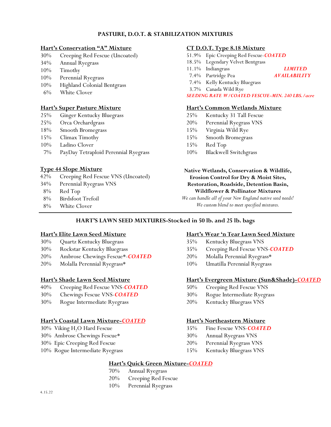#### **PASTURE, D.O.T. & STABILIZATION MIXTURES**

#### **Hart's Conservation "A" Mixture**

- 30% Creeping Red Fescue (Uncoated)
- 34% Annual Ryegrass
- 10% Timothy
- 10% Perennial Ryegrass
- 10% Highland Colonial Bentgrass
- 6% White Clover

#### **Hart's Super Pasture Mixture**

- 25% Ginger Kentucky Bluegrass
- 25% Orca Orchardgrass
- 18% Smooth Bromegrass
- 15% Climax Timothy
- 10% Ladino Clover
- 7% PayDay Tetraploid Perennial Ryegrass

#### **Type 44 Slope Mixture**

- 42% Creeping Red Fescue VNS (Uncoated)
- 34% Perennial Ryegrass VNS
- 8% Red Top
- 8% Birdsfoot Trefoil
- 8% White Clover

#### **CT D.O.T. Type 8.18 Mixture**

- 51.9% Epic Creeping Red Fescue-*COATED*
- 18.5% Legendary Velvet Bentgrass
- 11.1% Indiangrass *LIMITED*
- 7.4% Partridge Pea *AVAILABILITY*
- 7.4% Kelly Kentucky Bluegrass
- 3.7% Canada Wild Rye

#### *SEEDING RATE W/COATED FESCUE-MIN. 240 LBS./acre*

#### **Hart's Common Wetlands Mixture**

- 25% Kentucky 31 Tall Fescue
- 20% Perennial Ryegrass VNS
- 15% Virginia Wild Rye
- 15% Smooth Bromegrass
- 15% Red Top
- 10% Blackwell Switchgrass

**Native Wetlands, Conservation & Wildlife, Erosion Control for Dry & Moist Sites, Restoration, Roadside, Detention Basin, Wildflower & Pollinator Mixtures**

*We can handle all of your New England native seed needs! We custom blend to meet specified mixtures.*

#### **HART'S LAWN SEED MIXTURES-Stocked in 50 lb. and 25 lb. bags**

#### **Hart's Elite Lawn Seed Mixture**

- 30% Quartz Kentucky Bluegrass
- 30% Rockstar Kentucky Bluegrass
- 20% Ambrose Chewings Fescue\*-*COATED*
- 20% Molalla Perennial Ryegrass\*

#### **Hart's Shade Lawn Seed Mixture**

- 40% Creeping Red Fescue VNS-*COATED*
- 30% Chewings Fescue VNS-*COATED*
- 30% Rogue Intermediate Ryegrass

#### **Hart's Coastal Lawn Mixture-***COATED*

- 30% Viking H<sub>2</sub>O Hard Fescue
- 30% Ambrose Chewings Fescue\*
- 30% Epic Creeping Red Fescue
- 10% Rogue Intermediate Ryegrass

#### **Hart's Wear 'n Tear Lawn Seed Mixture**

- 35% Kentucky Bluegrass VNS
- 35% Creeping Red Fescue VNS-*COATED*
- 20% Molalla Perennial Ryegrass\*
- 10% Umatilla Perennial Ryegrass

#### **Hart's Evergreen Mixture (Sun&Shade)-***COATED*

- 50% Creeping Red Fescue VNS
- 30% Rogue Intermediate Ryegrass
- 20% Kentucky Bluegrass VNS

#### **Hart's Northeastern Mixture**

- 35% Fine Fescue VNS-*COATED*
- 30% Annual Ryegrass VNS
- 20% Perennial Ryegrass VNS
- 15% Kentucky Bluegrass VNS

#### **Hart's Quick Green Mixture-***COATED*

- 70% Annual Ryegrass
- 20% Creeping Red Fescue
- 10% Perennial Ryegrass